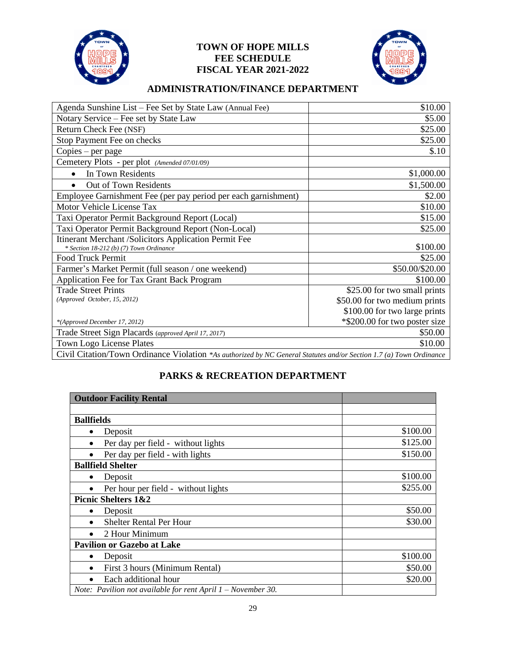

## **TOWN OF HOPE MILLS FEE SCHEDULE FISCAL YEAR 2021-2022**



## **ADMINISTRATION/FINANCE DEPARTMENT**

| Agenda Sunshine List - Fee Set by State Law (Annual Fee)                                                                           | \$10.00                       |
|------------------------------------------------------------------------------------------------------------------------------------|-------------------------------|
| Notary Service - Fee set by State Law                                                                                              | \$5.00                        |
| Return Check Fee (NSF)                                                                                                             | \$25.00                       |
| Stop Payment Fee on checks                                                                                                         | \$25.00                       |
| Copies – per page                                                                                                                  | \$.10                         |
| Cemetery Plots - per plot (Amended 07/01/09)                                                                                       |                               |
| In Town Residents                                                                                                                  | \$1,000.00                    |
| Out of Town Residents                                                                                                              | \$1,500.00                    |
| Employee Garnishment Fee (per pay period per each garnishment)                                                                     | \$2.00                        |
| Motor Vehicle License Tax                                                                                                          | \$10.00                       |
| Taxi Operator Permit Background Report (Local)                                                                                     | \$15.00                       |
| Taxi Operator Permit Background Report (Non-Local)                                                                                 | \$25.00                       |
| Itinerant Merchant /Solicitors Application Permit Fee                                                                              |                               |
| * Section 18-212 (b) (7) Town Ordinance                                                                                            | \$100.00                      |
| <b>Food Truck Permit</b>                                                                                                           | \$25.00                       |
| Farmer's Market Permit (full season / one weekend)                                                                                 | \$50.00/\$20.00               |
| Application Fee for Tax Grant Back Program                                                                                         | \$100.00                      |
| <b>Trade Street Prints</b>                                                                                                         | \$25.00 for two small prints  |
| (Approved October, 15, 2012)                                                                                                       | \$50.00 for two medium prints |
|                                                                                                                                    | \$100.00 for two large prints |
| *(Approved December 17, 2012)                                                                                                      | *\$200.00 for two poster size |
| Trade Street Sign Placards (approved April 17, 2017)                                                                               | \$50.00                       |
| Town Logo License Plates                                                                                                           | \$10.00                       |
| $C_{\rm tot}$ : $C_{\rm tot}$ or $T_{\rm conv}$ $C_{\rm tot}$ is seen $V_{\rm t}$ and $\mu$ and $\tau$ is the second second second |                               |

Civil Citation/Town Ordinance Violation *\*As authorized by NC General Statutes and/or Section 1.7 (a) Town Ordinance*

# **PARKS & RECREATION DEPARTMENT**

| <b>Outdoor Facility Rental</b>                                  |          |
|-----------------------------------------------------------------|----------|
|                                                                 |          |
| <b>Ballfields</b>                                               |          |
| Deposit<br>$\bullet$                                            | \$100.00 |
| Per day per field - without lights                              | \$125.00 |
| Per day per field - with lights                                 | \$150.00 |
| <b>Ballfield Shelter</b>                                        |          |
| Deposit<br>٠                                                    | \$100.00 |
| Per hour per field - without lights                             | \$255.00 |
| <b>Picnic Shelters 1&amp;2</b>                                  |          |
| Deposit<br>$\bullet$                                            | \$50.00  |
| <b>Shelter Rental Per Hour</b>                                  | \$30.00  |
| 2 Hour Minimum                                                  |          |
| <b>Pavilion or Gazebo at Lake</b>                               |          |
| Deposit<br>٠                                                    | \$100.00 |
| First 3 hours (Minimum Rental)<br>$\bullet$                     | \$50.00  |
| Each additional hour                                            | \$20.00  |
| Note: Pavilion not available for rent April $1 - November 30$ . |          |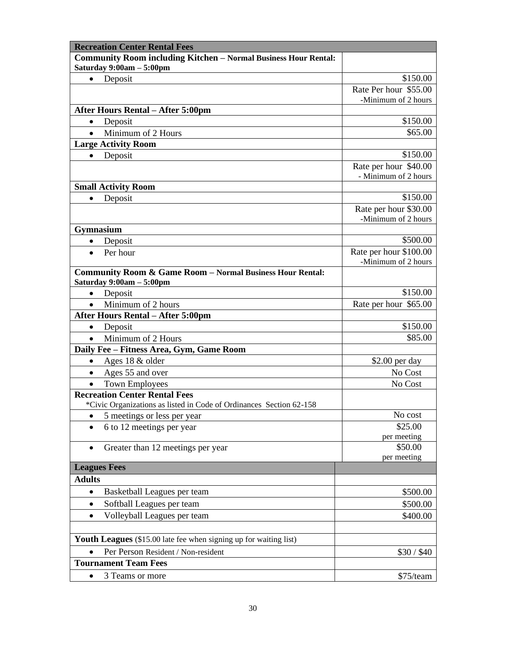| <b>Recreation Center Rental Fees</b>                                   |                                               |
|------------------------------------------------------------------------|-----------------------------------------------|
| <b>Community Room including Kitchen - Normal Business Hour Rental:</b> |                                               |
| Saturday $9:00am - 5:00pm$                                             |                                               |
| Deposit<br>$\bullet$                                                   | \$150.00                                      |
|                                                                        | Rate Per hour \$55.00                         |
|                                                                        | -Minimum of 2 hours                           |
| <b>After Hours Rental – After 5:00pm</b>                               |                                               |
| Deposit<br>$\bullet$                                                   | \$150.00                                      |
| Minimum of 2 Hours<br>$\bullet$                                        | \$65.00                                       |
| <b>Large Activity Room</b>                                             |                                               |
| Deposit<br>$\bullet$                                                   | \$150.00                                      |
|                                                                        | Rate per hour \$40.00<br>- Minimum of 2 hours |
| <b>Small Activity Room</b>                                             |                                               |
| Deposit<br>$\bullet$                                                   | \$150.00                                      |
|                                                                        | Rate per hour \$30.00                         |
|                                                                        | -Minimum of 2 hours                           |
| Gymnasium                                                              |                                               |
| Deposit<br>$\bullet$                                                   | \$500.00                                      |
| Per hour<br>$\bullet$                                                  | Rate per hour \$100.00                        |
|                                                                        | -Minimum of 2 hours                           |
| Community Room & Game Room - Normal Business Hour Rental:              |                                               |
| Saturday 9:00am - 5:00pm                                               |                                               |
| Deposit<br>$\bullet$                                                   | \$150.00                                      |
| Minimum of 2 hours<br>$\bullet$                                        | Rate per hour \$65.00                         |
| <b>After Hours Rental – After 5:00pm</b>                               |                                               |
| Deposit<br>$\bullet$                                                   | \$150.00                                      |
| Minimum of 2 Hours<br>$\bullet$                                        | \$85.00                                       |
| Daily Fee - Fitness Area, Gym, Game Room                               |                                               |
| Ages 18 & older<br>$\bullet$                                           | $$2.00$ per day                               |
| Ages 55 and over<br>$\bullet$                                          | No Cost                                       |
| <b>Town Employees</b><br>$\bullet$                                     | No Cost                                       |
| <b>Recreation Center Rental Fees</b>                                   |                                               |
| *Civic Organizations as listed in Code of Ordinances Section 62-158    |                                               |
| 5 meetings or less per year<br>٠                                       | No cost                                       |
| 6 to 12 meetings per year<br>$\bullet$                                 | \$25.00                                       |
|                                                                        | per meeting<br>\$50.00                        |
| Greater than 12 meetings per year<br>$\bullet$                         | per meeting                                   |
| <b>Leagues Fees</b>                                                    |                                               |
| <b>Adults</b>                                                          |                                               |
| Basketball Leagues per team<br>$\bullet$                               | \$500.00                                      |
| Softball Leagues per team<br>$\bullet$                                 | \$500.00                                      |
|                                                                        |                                               |
| Volleyball Leagues per team<br>$\bullet$                               | \$400.00                                      |
|                                                                        |                                               |
| Youth Leagues (\$15.00 late fee when signing up for waiting list)      |                                               |
| Per Person Resident / Non-resident<br>$\bullet$                        | \$30 / \$40                                   |
| <b>Tournament Team Fees</b>                                            |                                               |
| 3 Teams or more<br>$\bullet$                                           | \$75/team                                     |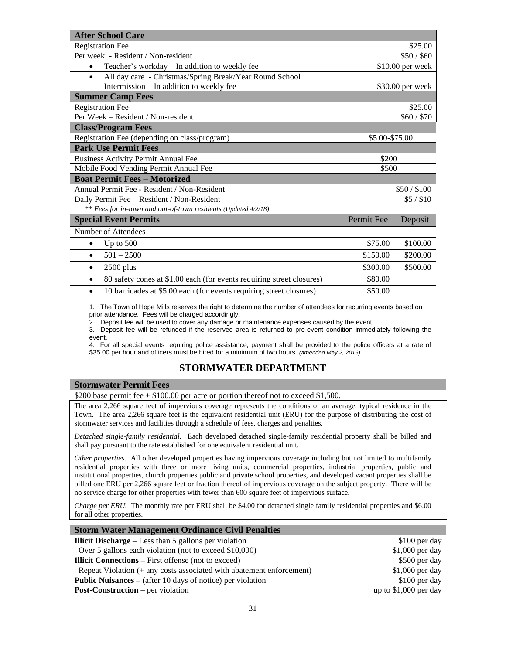| <b>After School Care</b>                                                           |                |                   |
|------------------------------------------------------------------------------------|----------------|-------------------|
| <b>Registration Fee</b>                                                            |                | \$25.00           |
| Per week - Resident / Non-resident                                                 |                | \$50/\$60         |
| Teacher's workday - In addition to weekly fee<br>$\bullet$                         |                | $$10.00$ per week |
| All day care - Christmas/Spring Break/Year Round School<br>$\bullet$               |                |                   |
| Intermission - In addition to weekly fee                                           |                | \$30.00 per week  |
| <b>Summer Camp Fees</b>                                                            |                |                   |
| <b>Registration Fee</b>                                                            |                | \$25.00           |
| Per Week – Resident / Non-resident                                                 |                | \$60 / \$70       |
| <b>Class/Program Fees</b>                                                          |                |                   |
| Registration Fee (depending on class/program)                                      | \$5.00-\$75.00 |                   |
| <b>Park Use Permit Fees</b>                                                        |                |                   |
| <b>Business Activity Permit Annual Fee</b>                                         | \$200          |                   |
| Mobile Food Vending Permit Annual Fee                                              | \$500          |                   |
| <b>Boat Permit Fees - Motorized</b>                                                |                |                   |
| Annual Permit Fee - Resident / Non-Resident                                        |                | \$50/\$100        |
| Daily Permit Fee - Resident / Non-Resident                                         |                | \$5/\$10          |
| ** Fees for in-town and out-of-town residents (Updated 4/2/18)                     |                |                   |
| <b>Special Event Permits</b>                                                       | Permit Fee     | Deposit           |
| Number of Attendees                                                                |                |                   |
| Up to $500$<br>٠                                                                   | \$75.00        | \$100.00          |
| $501 - 2500$<br>$\bullet$                                                          | \$150.00       | \$200.00          |
| $2500$ plus<br>$\bullet$                                                           | \$300.00       | \$500.00          |
| 80 safety cones at \$1.00 each (for events requiring street closures)<br>$\bullet$ | \$80.00        |                   |
| 10 barricades at \$5.00 each (for events requiring street closures)<br>$\bullet$   | \$50.00        |                   |

1. The Town of Hope Mills reserves the right to determine the number of attendees for recurring events based on prior attendance. Fees will be charged accordingly.

2. Deposit fee will be used to cover any damage or maintenance expenses caused by the event.

3. Deposit fee will be refunded if the reserved area is returned to pre-event condition immediately following the event.

4. For all special events requiring police assistance, payment shall be provided to the police officers at a rate of \$35.00 per hour and officers must be hired for a minimum of two hours. *(amended May 2, 2016)*

### **STORMWATER DEPARTMENT**

| <b>Stormwater Permit Fees</b>                                                                                         |  |
|-----------------------------------------------------------------------------------------------------------------------|--|
| \$200 base permit fee $+$ \$100.00 per acre or portion thereof not to exceed \$1,500.                                 |  |
| The area 2,266 square feet of impervious coverage represents the conditions of an average, typical residence in the   |  |
| Town. The area 2,266 square feet is the equivalent residential unit (ERU) for the purpose of distributing the cost of |  |
| stormwater services and facilities through a schedule of fees, charges and penalties.                                 |  |

*Detached single-family residential.* Each developed detached single-family residential property shall be billed and shall pay pursuant to the rate established for one equivalent residential unit.

*Other properties.* All other developed properties having impervious coverage including but not limited to multifamily residential properties with three or more living units, commercial properties, industrial properties, public and institutional properties, church properties public and private school properties, and developed vacant properties shall be billed one ERU per 2,266 square feet or fraction thereof of impervious coverage on the subject property. There will be no service charge for other properties with fewer than 600 square feet of impervious surface.

*Charge per ERU.* The monthly rate per ERU shall be \$4.00 for detached single family residential properties and \$6.00 for all other properties.

| <b>Storm Water Management Ordinance Civil Penalties</b>              |                        |
|----------------------------------------------------------------------|------------------------|
| <b>Illicit Discharge</b> – Less than 5 gallons per violation         | $$100$ per day         |
| Over 5 gallons each violation (not to exceed \$10,000)               | $$1,000$ per day       |
| <b>Illicit Connections</b> – First offense (not to exceed)           | \$500 per day          |
| Repeat Violation (+ any costs associated with abatement enforcement) | $$1,000$ per day       |
| <b>Public Nuisances</b> – (after 10 days of notice) per violation    | $$100$ per day         |
| <b>Post-Construction</b> – per violation                             | up to $$1,000$ per day |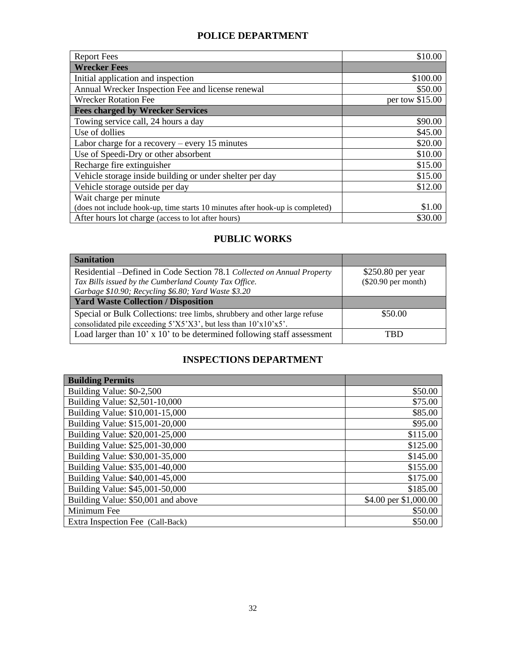# **POLICE DEPARTMENT**

| <b>Report Fees</b>                                                            | \$10.00         |
|-------------------------------------------------------------------------------|-----------------|
| <b>Wrecker Fees</b>                                                           |                 |
| Initial application and inspection                                            | \$100.00        |
| Annual Wrecker Inspection Fee and license renewal                             | \$50.00         |
| <b>Wrecker Rotation Fee</b>                                                   | per tow \$15.00 |
| <b>Fees charged by Wrecker Services</b>                                       |                 |
| Towing service call, 24 hours a day                                           | \$90.00         |
| Use of dollies                                                                | \$45.00         |
| Labor charge for a recovery $-$ every 15 minutes                              | \$20.00         |
| Use of Speedi-Dry or other absorbent                                          | \$10.00         |
| Recharge fire extinguisher                                                    | \$15.00         |
| Vehicle storage inside building or under shelter per day                      | \$15.00         |
| Vehicle storage outside per day                                               | \$12.00         |
| Wait charge per minute                                                        |                 |
| (does not include hook-up, time starts 10 minutes after hook-up is completed) | \$1.00          |
| After hours lot charge (access to lot after hours)                            | \$30.00         |

## **PUBLIC WORKS**

| <b>Sanitation</b>                                                         |                       |
|---------------------------------------------------------------------------|-----------------------|
| Residential -Defined in Code Section 78.1 Collected on Annual Property    | $$250.80$ per year    |
| Tax Bills issued by the Cumberland County Tax Office.                     | $(\$20.90$ per month) |
| Garbage \$10.90; Recycling \$6.80; Yard Waste \$3.20                      |                       |
| <b>Yard Waste Collection / Disposition</b>                                |                       |
| Special or Bulk Collections: tree limbs, shrubbery and other large refuse | \$50.00               |
| consolidated pile exceeding $5'X5'X3'$ , but less than $10'x10'x5'$ .     |                       |
| Load larger than 10' x 10' to be determined following staff assessment    | TBD                   |

# **INSPECTIONS DEPARTMENT**

| <b>Building Permits</b>            |                       |
|------------------------------------|-----------------------|
| Building Value: \$0-2,500          | \$50.00               |
| Building Value: \$2,501-10,000     | \$75.00               |
| Building Value: \$10,001-15,000    | \$85.00               |
| Building Value: \$15,001-20,000    | \$95.00               |
| Building Value: \$20,001-25,000    | \$115.00              |
| Building Value: \$25,001-30,000    | \$125.00              |
| Building Value: \$30,001-35,000    | \$145.00              |
| Building Value: \$35,001-40,000    | \$155.00              |
| Building Value: \$40,001-45,000    | \$175.00              |
| Building Value: \$45,001-50,000    | \$185.00              |
| Building Value: \$50,001 and above | \$4.00 per \$1,000.00 |
| Minimum Fee                        | \$50.00               |
| Extra Inspection Fee (Call-Back)   | \$50.00               |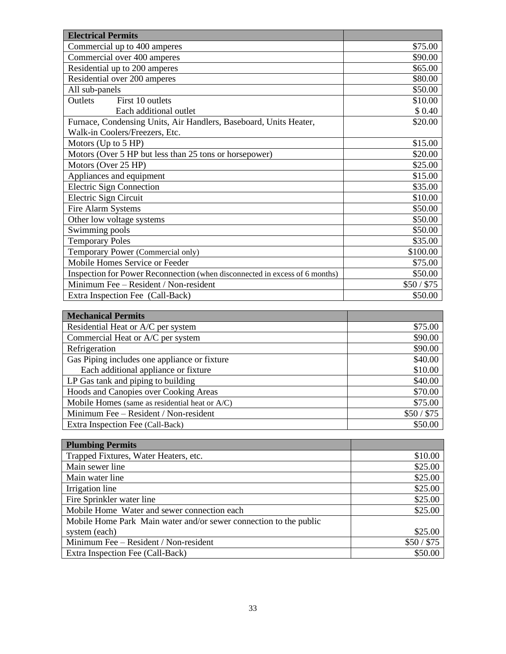| <b>Electrical Permits</b>                                                   |            |
|-----------------------------------------------------------------------------|------------|
| Commercial up to 400 amperes                                                | \$75.00    |
| Commercial over 400 amperes                                                 | \$90.00    |
| Residential up to 200 amperes                                               | \$65.00    |
| Residential over 200 amperes                                                | \$80.00    |
| All sub-panels                                                              | \$50.00    |
| First 10 outlets<br><b>Outlets</b>                                          | \$10.00    |
| Each additional outlet                                                      | \$0.40     |
| Furnace, Condensing Units, Air Handlers, Baseboard, Units Heater,           | \$20.00    |
| Walk-in Coolers/Freezers, Etc.                                              |            |
| Motors (Up to 5 HP)                                                         | \$15.00    |
| Motors (Over 5 HP but less than 25 tons or horsepower)                      | \$20.00    |
| Motors (Over 25 HP)                                                         | \$25.00    |
| Appliances and equipment                                                    | \$15.00    |
| <b>Electric Sign Connection</b>                                             | \$35.00    |
| Electric Sign Circuit                                                       | \$10.00    |
| Fire Alarm Systems                                                          | \$50.00    |
| Other low voltage systems                                                   | \$50.00    |
| Swimming pools                                                              | \$50.00    |
| <b>Temporary Poles</b>                                                      | \$35.00    |
| Temporary Power (Commercial only)                                           | \$100.00   |
| Mobile Homes Service or Feeder                                              | \$75.00    |
| Inspection for Power Reconnection (when disconnected in excess of 6 months) | \$50.00    |
| Minimum Fee - Resident / Non-resident                                       | \$50/ \$75 |
| Extra Inspection Fee (Call-Back)                                            | \$50.00    |

| <b>Mechanical Permits</b>                      |           |
|------------------------------------------------|-----------|
| Residential Heat or A/C per system             | \$75.00   |
| Commercial Heat or A/C per system              | \$90.00   |
| Refrigeration                                  | \$90.00   |
| Gas Piping includes one appliance or fixture   | \$40.00   |
| Each additional appliance or fixture           | \$10.00   |
| LP Gas tank and piping to building             | \$40.00   |
| Hoods and Canopies over Cooking Areas          | \$70.00   |
| Mobile Homes (same as residential heat or A/C) | \$75.00   |
| Minimum Fee - Resident / Non-resident          | \$50/\$75 |
| Extra Inspection Fee (Call-Back)               | \$50.00   |

| <b>Plumbing Permits</b>                                           |           |
|-------------------------------------------------------------------|-----------|
| Trapped Fixtures, Water Heaters, etc.                             | \$10.00   |
| Main sewer line                                                   | \$25.00   |
| Main water line                                                   | \$25.00   |
| Irrigation line                                                   | \$25.00   |
| Fire Sprinkler water line                                         | \$25.00   |
| Mobile Home Water and sewer connection each                       | \$25.00   |
| Mobile Home Park Main water and/or sewer connection to the public |           |
| system (each)                                                     | \$25.00   |
| Minimum Fee - Resident / Non-resident                             | \$50/\$75 |
| Extra Inspection Fee (Call-Back)                                  | \$50.00   |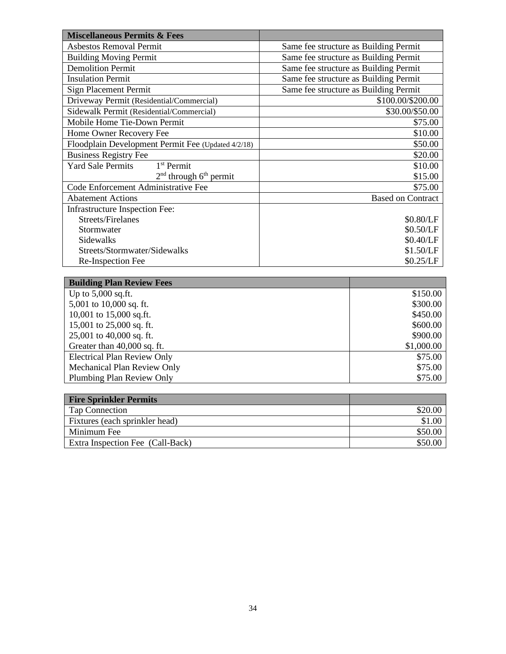| <b>Miscellaneous Permits &amp; Fees</b>            |                                       |
|----------------------------------------------------|---------------------------------------|
| <b>Asbestos Removal Permit</b>                     | Same fee structure as Building Permit |
| <b>Building Moving Permit</b>                      | Same fee structure as Building Permit |
| <b>Demolition Permit</b>                           | Same fee structure as Building Permit |
| <b>Insulation Permit</b>                           | Same fee structure as Building Permit |
| Sign Placement Permit                              | Same fee structure as Building Permit |
| Driveway Permit (Residential/Commercial)           | \$100.00/\$200.00                     |
| Sidewalk Permit (Residential/Commercial)           | \$30.00/\$50.00                       |
| Mobile Home Tie-Down Permit                        | \$75.00                               |
| Home Owner Recovery Fee                            | \$10.00                               |
| Floodplain Development Permit Fee (Updated 4/2/18) | \$50.00                               |
| <b>Business Registry Fee</b>                       | \$20.00                               |
| 1 <sup>st</sup> Permit<br><b>Yard Sale Permits</b> | \$10.00                               |
| $2nd$ through $6th$ permit                         | \$15.00                               |
| Code Enforcement Administrative Fee                | \$75.00                               |
| <b>Abatement Actions</b>                           | <b>Based on Contract</b>              |
| Infrastructure Inspection Fee:                     |                                       |
| Streets/Firelanes                                  | \$0.80/LF                             |
| Stormwater                                         | \$0.50/LF                             |
| Sidewalks                                          | \$0.40/LF                             |
| Streets/Stormwater/Sidewalks                       | \$1.50/LF                             |
| Re-Inspection Fee                                  | \$0.25/LF                             |
|                                                    |                                       |

| <b>Building Plan Review Fees</b>   |            |
|------------------------------------|------------|
| Up to $5,000$ sq.ft.               | \$150.00   |
| 5,001 to $10,000$ sq. ft.          | \$300.00   |
| 10,001 to 15,000 sq.ft.            | \$450.00   |
| 15,001 to $25,000$ sq. ft.         | \$600.00   |
| 25,001 to 40,000 sq. ft.           | \$900.00   |
| Greater than 40,000 sq. ft.        | \$1,000.00 |
| <b>Electrical Plan Review Only</b> | \$75.00    |
| Mechanical Plan Review Only        | \$75.00    |
| Plumbing Plan Review Only          | \$75.00    |

| <b>Fire Sprinkler Permits</b>    |         |
|----------------------------------|---------|
| Tap Connection                   | \$20.00 |
| Fixtures (each sprinkler head)   | \$1.00  |
| Minimum Fee                      | \$50.00 |
| Extra Inspection Fee (Call-Back) | \$50.00 |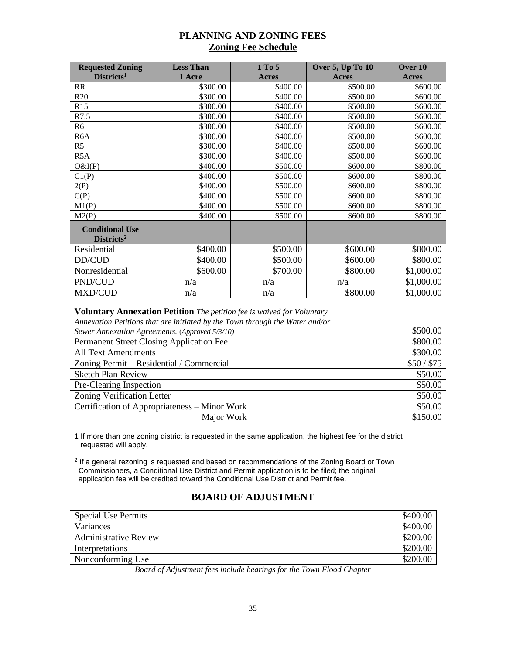### **PLANNING AND ZONING FEES Zoning Fee Schedule**

| <b>Requested Zoning</b>                          | <b>Less Than</b> | 1 To 5       | <b>Over 5, Up To 10</b> | Over 10      |
|--------------------------------------------------|------------------|--------------|-------------------------|--------------|
| Districts <sup>1</sup>                           | 1 Acre           | <b>Acres</b> | Acres                   | <b>Acres</b> |
| RR                                               | \$300.00         | \$400.00     | \$500.00                | \$600.00     |
| R20                                              | \$300.00         | \$400.00     | \$500.00                | \$600.00     |
| R15                                              | \$300.00         | \$400.00     | \$500.00                | \$600.00     |
| R7.5                                             | \$300.00         | \$400.00     | \$500.00                | \$600.00     |
| R <sub>6</sub>                                   | \$300.00         | \$400.00     | \$500.00                | \$600.00     |
| R <sub>6</sub> A                                 | \$300.00         | \$400.00     | \$500.00                | \$600.00     |
| R <sub>5</sub>                                   | \$300.00         | \$400.00     | \$500.00                | \$600.00     |
| R <sub>5</sub> A                                 | \$300.00         | \$400.00     | \$500.00                | \$600.00     |
| O&I(P)                                           | \$400.00         | \$500.00     | \$600.00                | \$800.00     |
| Cl(P)                                            | \$400.00         | \$500.00     | \$600.00                | \$800.00     |
| 2(P)                                             | \$400.00         | \$500.00     | \$600.00                | \$800.00     |
| C(P)                                             | \$400.00         | \$500.00     | \$600.00                | \$800.00     |
| M1(P)                                            | \$400.00         | \$500.00     | \$600.00                | \$800.00     |
| M2(P)                                            | \$400.00         | \$500.00     | \$600.00                | \$800.00     |
| <b>Conditional Use</b><br>Districts <sup>2</sup> |                  |              |                         |              |
| Residential                                      | \$400.00         | \$500.00     | \$600.00                | \$800.00     |
| DD/CUD                                           | \$400.00         | \$500.00     | \$600.00                | \$800.00     |
| Nonresidential                                   | \$600.00         | \$700.00     | \$800.00                | \$1,000.00   |
| PND/CUD                                          | n/a              | n/a          | n/a                     | \$1,000.00   |
| MXD/CUD                                          | n/a              | n/a          | \$800.00                | \$1,000.00   |

| <b>Voluntary Annexation Petition</b> The petition fee is waived for Voluntary |             |
|-------------------------------------------------------------------------------|-------------|
| Annexation Petitions that are initiated by the Town through the Water and/or  |             |
| Sewer Annexation Agreements. (Approved 5/3/10)                                | \$500.00    |
| Permanent Street Closing Application Fee                                      | \$800.00    |
| <b>All Text Amendments</b>                                                    | \$300.00    |
| Zoning Permit – Residential / Commercial                                      | \$50 / \$75 |
| <b>Sketch Plan Review</b>                                                     | \$50.00     |
| Pre-Clearing Inspection                                                       | \$50.00     |
| <b>Zoning Verification Letter</b>                                             | \$50.00     |
| Certification of Appropriateness – Minor Work                                 | \$50.00     |
| Major Work                                                                    | \$150.00    |

1 If more than one zoning district is requested in the same application, the highest fee for the district requested will apply.

<sup>2</sup> If a general rezoning is requested and based on recommendations of the Zoning Board or Town Commissioners, a Conditional Use District and Permit application is to be filed; the original application fee will be credited toward the Conditional Use District and Permit fee.

#### **BOARD OF ADJUSTMENT**

| Special Use Permits          | \$400.00 |
|------------------------------|----------|
| Variances                    | \$400.00 |
| <b>Administrative Review</b> | \$200.00 |
| Interpretations              | \$200.00 |
| Nonconforming Use            | \$200.00 |

*Board of Adjustment fees include hearings for the Town Flood Chapter*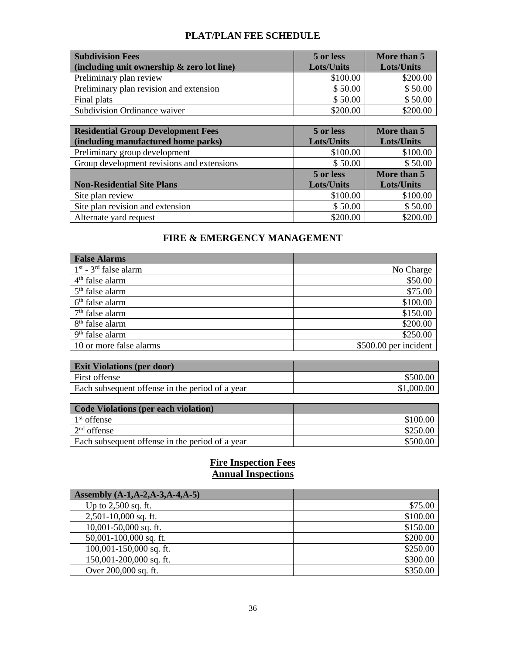# **PLAT/PLAN FEE SCHEDULE**

| <b>Subdivision Fees</b>                       | 5 or less         | More than 5 |
|-----------------------------------------------|-------------------|-------------|
| (including unit ownership $\&$ zero lot line) | <b>Lots/Units</b> | Lots/Units  |
| Preliminary plan review                       | \$100.00          | \$200.00    |
| Preliminary plan revision and extension       | \$50.00           | \$50.00     |
| Final plats                                   | \$50.00           | \$50.00     |
| Subdivision Ordinance waiver                  | \$200.00          | \$200.00    |

| <b>Residential Group Development Fees</b><br>(including manufactured home parks) | 5 or less<br><b>Lots/Units</b> | More than 5<br><b>Lots/Units</b> |
|----------------------------------------------------------------------------------|--------------------------------|----------------------------------|
| Preliminary group development                                                    | \$100.00                       | \$100.00                         |
| Group development revisions and extensions                                       | \$50.00                        | \$50.00                          |
|                                                                                  | 5 or less                      | More than 5                      |
| <b>Non-Residential Site Plans</b>                                                | <b>Lots/Units</b>              | Lots/Units                       |
| Site plan review                                                                 | \$100.00                       | \$100.00                         |
| Site plan revision and extension                                                 | \$50.00                        | \$50.00                          |
| Alternate yard request                                                           | \$200.00                       | \$200.00                         |

# **FIRE & EMERGENCY MANAGEMENT**

| <b>False Alarms</b>                 |                       |
|-------------------------------------|-----------------------|
| $1st$ - 3 <sup>rd</sup> false alarm | No Charge             |
| $4th$ false alarm                   | \$50.00               |
| $5th$ false alarm                   | \$75.00               |
| $6th$ false alarm                   | \$100.00              |
| $7th$ false alarm                   | \$150.00              |
| 8 <sup>th</sup> false alarm         | \$200.00              |
| $9th$ false alarm                   | \$250.00              |
| 10 or more false alarms             | \$500.00 per incident |

| <b>Exit Violations (per door)</b>               |            |
|-------------------------------------------------|------------|
| <b>First offense</b>                            | \$500.00   |
| Each subsequent offense in the period of a year | \$1,000.00 |

| Code Violations (per each violation)            |          |
|-------------------------------------------------|----------|
| $1st$ offense                                   | \$100.00 |
| $2nd$ offense                                   | \$250.00 |
| Each subsequent offense in the period of a year | \$500.00 |

#### **Fire Inspection Fees Annual Inspections**

| Assembly (A-1,A-2,A-3,A-4,A-5) |          |
|--------------------------------|----------|
| Up to $2,500$ sq. ft.          | \$75.00  |
| $2,501-10,000$ sq. ft.         | \$100.00 |
| $10,001-50,000$ sq. ft.        | \$150.00 |
| 50,001-100,000 sq. ft.         | \$200.00 |
| $100,001-150,000$ sq. ft.      | \$250.00 |
| 150,001-200,000 sq. ft.        | \$300.00 |
| Over 200,000 sq. ft.           | \$350.00 |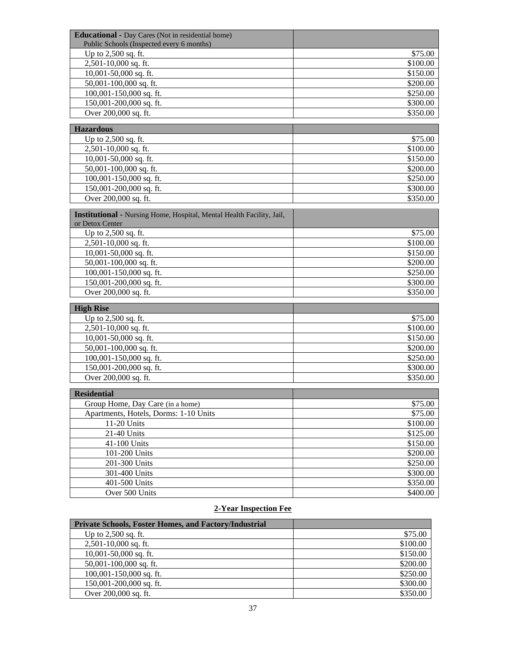| <b>Educational - Day Cares (Not in residential home)</b>              |          |
|-----------------------------------------------------------------------|----------|
| Public Schools (Inspected every 6 months)                             |          |
| Up to 2,500 sq. ft.                                                   | \$75.00  |
| 2,501-10,000 sq. ft.                                                  | \$100.00 |
| 10,001-50,000 sq. ft.                                                 | \$150.00 |
| 50,001-100,000 sq. ft.                                                | \$200.00 |
| 100,001-150,000 sq. ft.                                               | \$250.00 |
| 150,001-200,000 sq. ft.                                               | \$300.00 |
| Over 200,000 sq. ft.                                                  | \$350.00 |
| <b>Hazardous</b>                                                      |          |
| Up to 2,500 sq. ft.                                                   | \$75.00  |
| 2,501-10,000 sq. ft.                                                  | \$100.00 |
| 10,001-50,000 sq. ft.                                                 | \$150.00 |
| 50,001-100,000 sq. ft.                                                | \$200.00 |
| 100,001-150,000 sq. ft.                                               | \$250.00 |
| 150,001-200,000 sq. ft.                                               | \$300.00 |
| Over 200,000 sq. ft.                                                  | \$350.00 |
| Institutional - Nursing Home, Hospital, Mental Health Facility, Jail, |          |
| or Detox Center                                                       |          |
| Up to 2,500 sq. ft.                                                   | \$75.00  |
| 2,501-10,000 sq. ft.                                                  | \$100.00 |
| 10,001-50,000 sq. ft.                                                 | \$150.00 |
| 50,001-100,000 sq. ft.                                                | \$200.00 |
| 100,001-150,000 sq. ft.                                               | \$250.00 |
| 150,001-200,000 sq. ft.                                               | \$300.00 |
| Over 200,000 sq. ft.                                                  | \$350.00 |
| <b>High Rise</b>                                                      |          |
| Up to 2,500 sq. ft.                                                   | \$75.00  |
| 2,501-10,000 sq. ft.                                                  | \$100.00 |
| 10,001-50,000 sq. ft.                                                 | \$150.00 |
| 50,001-100,000 sq. ft.                                                | \$200.00 |
| 100,001-150,000 sq. ft.                                               | \$250.00 |
| 150,001-200,000 sq. ft.                                               | \$300.00 |
| Over 200,000 sq. ft.                                                  | \$350.00 |
|                                                                       |          |
| <b>Residential</b>                                                    |          |
| Group Home, Day Care (in a home)                                      | \$75.00  |
| Apartments, Hotels, Dorms: 1-10 Units                                 | \$75.00  |
| 11-20 Units                                                           | \$100.00 |
| 21-40 Units                                                           | \$125.00 |
| 41-100 Units                                                          | \$150.00 |
| 101-200 Units                                                         | \$200.00 |
| 201-300 Units                                                         | \$250.00 |
| 301-400 Units                                                         | \$300.00 |
| 401-500 Units                                                         | \$350.00 |
| Over 500 Units                                                        | \$400.00 |

## **2-Year Inspection Fee**

| <b>Private Schools, Foster Homes, and Factory/Industrial</b> |          |
|--------------------------------------------------------------|----------|
| Up to $2,500$ sq. ft.                                        | \$75.00  |
| $2,501-10,000$ sq. ft.                                       | \$100.00 |
| $10,001-50,000$ sq. ft.                                      | \$150.00 |
| $50,001-100,000$ sq. ft.                                     | \$200.00 |
| $100,001-150,000$ sq. ft.                                    | \$250.00 |
| $150,001-200,000$ sq. ft.                                    | \$300.00 |
| Over 200,000 sq. ft.                                         | \$350.00 |